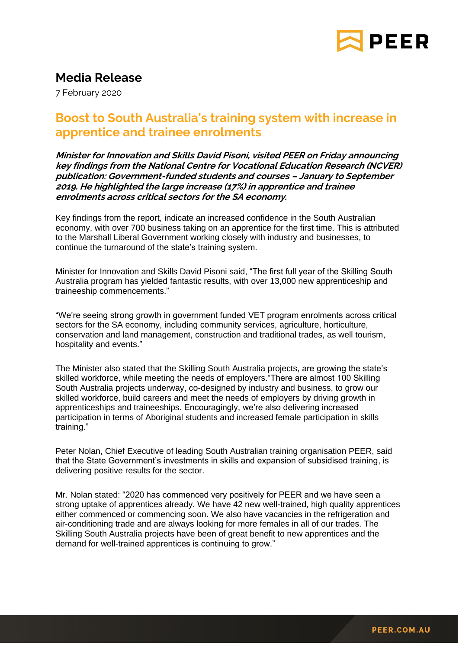

## **Media Release**

7 February 2020

## **Boost to South Australia's training system with increase in apprentice and trainee enrolments**

**Minister for Innovation and Skills David Pisoni, visited PEER on Friday announcing key findings from the National Centre for Vocational Education Research (NCVER) publication: Government-funded students and courses – January to September 2019. He highlighted the large increase (17%) in apprentice and trainee enrolments across critical sectors for the SA economy.** 

Key findings from the report, indicate an increased confidence in the South Australian economy, with over 700 business taking on an apprentice for the first time. This is attributed to the Marshall Liberal Government working closely with industry and businesses, to continue the turnaround of the state's training system.

Minister for Innovation and Skills David Pisoni said, "The first full year of the Skilling South Australia program has yielded fantastic results, with over 13,000 new apprenticeship and traineeship commencements."

"We're seeing strong growth in government funded VET program enrolments across critical sectors for the SA economy, including community services, agriculture, horticulture, conservation and land management, construction and traditional trades, as well tourism, hospitality and events."

The Minister also stated that the Skilling South Australia projects, are growing the state's skilled workforce, while meeting the needs of employers."There are almost 100 Skilling South Australia projects underway, co-designed by industry and business, to grow our skilled workforce, build careers and meet the needs of employers by driving growth in apprenticeships and traineeships. Encouragingly, we're also delivering increased participation in terms of Aboriginal students and increased female participation in skills training."

Peter Nolan, Chief Executive of leading South Australian training organisation PEER, said that the State Government's investments in skills and expansion of subsidised training, is delivering positive results for the sector.

Mr. Nolan stated: "2020 has commenced very positively for PEER and we have seen a strong uptake of apprentices already. We have 42 new well-trained, high quality apprentices either commenced or commencing soon. We also have vacancies in the refrigeration and air-conditioning trade and are always looking for more females in all of our trades. The Skilling South Australia projects have been of great benefit to new apprentices and the demand for well-trained apprentices is continuing to grow."